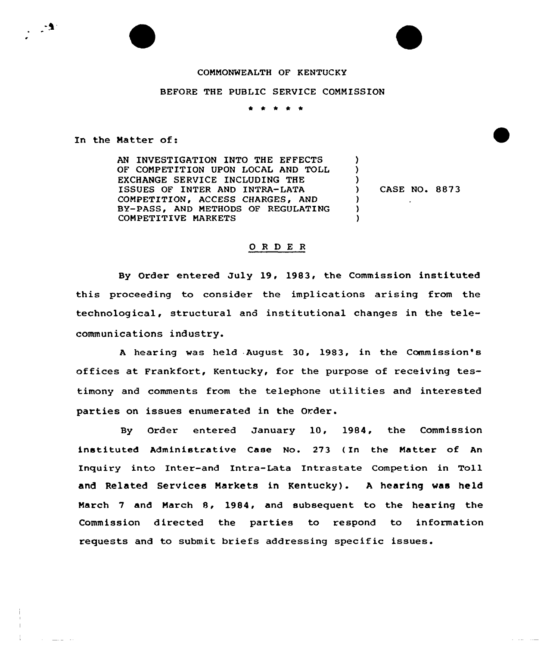## COMMONWEALTH OF KENTUCKY

## BEFORE THE PUBLIC SERVICE COMMISSION

\* \* \* \* \*

In the Natter of:

AN INVESTIGATION INTO THE EFFECTS OF COMPETITION UPON LOCAL AND TOLL EXCHANGE SERVICE INCLUDING THE ISSUES OF INTER AND INTRA-LATA COMPETITION, ACCESS CHARGES, AND BY-PASS, AND METHODS OF REGULATING COMPETITIVE MARKETS

) CASE NO. 887 3

) ) )<br>)

> ) ) )

## ORDER

By Order entered July 19, 1983, the Commission instituted this proceeding to consider the implications arising from the technological, structural and institutional changes in the telecommunications industry.

<sup>A</sup> hearing was held August 30, 1983, in the Commission's offices at Frankfort, Kentucky, for the purpose of receiving testimony and comments from the telephone utilities and interested parties on issues enumerated in the Order.

By Order entered January 10, 1984, the Commission instituted Administrative Case No. 273 ( In the Matter of An Inquiry into Inter-and Intra-Lata Intrastate Competion in Toll and Related Services Markets in Kentucky) . <sup>A</sup> hearing was held Narch <sup>7</sup> and March 8, 1984, and subsequent to the hearing the Commission directed the parties to respond to information requests and to submit briefs addressing specific issues.

 $\frac{1}{2} \frac{1}{2} \frac{1}{2} \frac{1}{2} \frac{1}{2} \frac{1}{2} \frac{1}{2} \frac{1}{2} \frac{1}{2} \frac{1}{2} \frac{1}{2} \frac{1}{2} \frac{1}{2} \frac{1}{2} \frac{1}{2} \frac{1}{2} \frac{1}{2} \frac{1}{2} \frac{1}{2} \frac{1}{2} \frac{1}{2} \frac{1}{2} \frac{1}{2} \frac{1}{2} \frac{1}{2} \frac{1}{2} \frac{1}{2} \frac{1}{2} \frac{1}{2} \frac{1}{2} \frac{1}{2} \frac{$